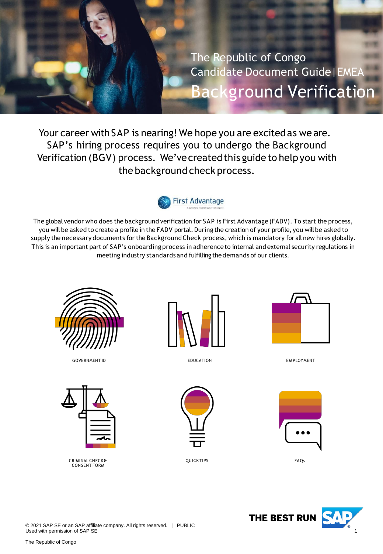<span id="page-0-0"></span>The Republic of Congo Candidate Document Guide|EMEA Background Verification

Your career with SAP is nearing! We hope you are excited as we are. SAP's hiring process requires you to undergo the Background Verification (BGV) process. We've created this guide to help you with the background check process.



The global vendor who does the background verification for SAP is First Advantage (FADV). To start the process, you will be asked to create a profile in the FADV portal. During the creation of your profile, you will be asked to supply the necessary documents for the BackgroundCheck process, which is mandatory for all new hires globally. This is an important part of SAP's onboarding process in adherence to internal and external security regulations in meeting industry standards and fulfilling thedemands of our clients.



GOVERNMENT ID **EDUCATION** EDUCATION **EXAMPLOYMENT** 







EDUCATION



QUICK TIPS FAQs







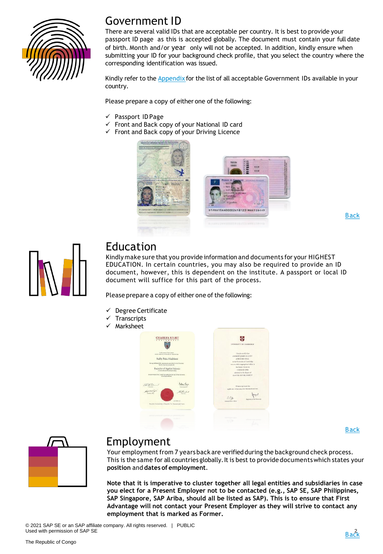

#### Government ID

There are several valid IDs that are acceptable per country. It is best to provide your passport ID page as this is accepted globally. The document must contain your full date of birth. Month and/or year only will not be accepted. In addition, kindly ensure when submitting your ID for your background check profile, that you select the country where the corresponding identification was issued.

Kindly refer to the **[Appendix](#page-9-0)** for the list of all acceptable Government IDs available in your country.

Please prepare a copy of either one of the following:

- ✓ Passport ID Page
- Front and Back copy of your National ID card
- ✓ Front and Back copy of your Driving Licence



[Back](#page-0-0)



#### Education

Kindly make sure that you provide information and documents for your HIGHEST EDUCATION. In certain countries, you may also be required to provide an ID document, however, this is dependent on the institute. A passport or local ID document will suffice for this part of the process.

Please prepare a copy of either one of the following:

- Degree Certificate
- **Transcripts**
- Marksheet



[Back](#page-0-0)



#### Employment

Your employment from 7 years back are verified during the background check process. This is the same for all countries globally. It is best to provide documents which states your **position** and **dates of employment**.

**Note that it is imperative to cluster together all legal entities and subsidiaries in case you elect for a Present Employer not to be contacted (e.g., SAP SE, SAP Philippines, SAP Singapore, SAP Ariba, should all be listed as SAP). This is to ensure that First Advantage will not contact your Present Employer as they will strive to contact any employment that is marked as Former.**

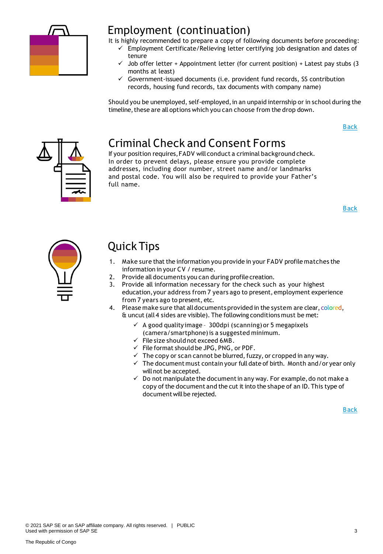

#### Employment (continuation)

It is highly recommended to prepare a copy of following documents before proceeding:

- ✓ Employment Certificate/Relieving letter certifying job designation and dates of tenure
	- Job offer letter + Appointment letter (for current position) + Latest pay stubs (3 months at least)
	- $\checkmark$  Government-issued documents (i.e. provident fund records, SS contribution records, housing fund records, tax documents with company name)

Should you be unemployed, self-employed, in an unpaid internship or in school during the timeline, these are all options which you can choose from the drop down.

[Back](#page-0-0)



#### Criminal Check and Consent Forms

If your position requires,FADV will conduct a criminal background check. In order to prevent delays, please ensure you provide complete addresses, including door number, street name and/or landmarks and postal code. You will also be required to provide your Father's full name.

[Back](#page-0-0)



#### Quick Tips

- 1. Make sure that the information you provide in your FADV profile matches the information in your CV / resume.
- 2. Provide all documents you can during profile creation.
- 3. Provide all information necessary for the check such as your highest education,your address from 7 years ago to present, employment experience from 7 years ago to present, etc.
- 4. Please make sure that all documents provided in the system are clear, colored, & uncut(all 4 sides are visible). The following conditions must be met:
	- $\checkmark$  A good quality image 300dpi (scanning) or 5 megapixels (camera/smartphone)is a suggested minimum.
	- $\checkmark$  File size should not exceed 6MB.
	- $\checkmark$  File format should be JPG, PNG, or PDF.
	- $\checkmark$  The copy or scan cannot be blurred, fuzzy, or cropped in any way.
	- $\checkmark$  The document must contain your full date of birth. Month and/or year only willnot be accepted.
	- $\checkmark$  Do not manipulate the document in any way. For example, do not make a copy of the document and the cut it into the shape of an ID. This type of document will be rejected.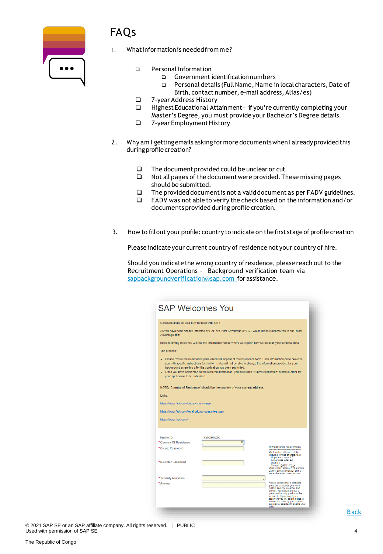

### FAQs

- What information is needed from me?
	- ❑ Personal Information
		- ❑ Government identificationnumbers
		- ❑ Personal details (FullName, Name in local characters, Date of Birth, contact number, e-mail address, Alias/es)
	- ❑ 7-year Address History
	- Highest Educational Attainment if you're currently completing your Master's Degree, you must provide your Bachelor's Degree details.
	- ❑ 7-year EmploymentHistory
- 2. Why am I gettingemails asking for more documentswhen I alreadyprovided this during profile creation?
	- ❑ The documentprovided could be unclear or cut.
	- ❑ Not all pages of the documentwere provided.These missing pages should be submitted.
	- ❑ The provided documentis not a validdocument as per FADV guidelines.
	- ❑ FADV was not able to verify the check based on the information and/or documents provided during profile creation.
- 3. How to fillout your profile: country to indicateon the first stage of profile creation

Please indicate your current country of residence not your country of hire.

Should you indicate the wrong country ofresidence, please reach out to the Recruitment Operations – Background verification team via [sapbackgroundverification@sap.com](mailto:sapbackgroundverification@sap.com) for assistance.

| <b>SAP Welcomes You</b>                                                                                                                                                                                                                                                                                                                                                                                                                                |                                                                                                                 |                                                                                                                                                                                                                                                                                            |  |  |  |  |
|--------------------------------------------------------------------------------------------------------------------------------------------------------------------------------------------------------------------------------------------------------------------------------------------------------------------------------------------------------------------------------------------------------------------------------------------------------|-----------------------------------------------------------------------------------------------------------------|--------------------------------------------------------------------------------------------------------------------------------------------------------------------------------------------------------------------------------------------------------------------------------------------|--|--|--|--|
| Congratulations on your new position with SAP!                                                                                                                                                                                                                                                                                                                                                                                                         |                                                                                                                 |                                                                                                                                                                                                                                                                                            |  |  |  |  |
| Advantage site!                                                                                                                                                                                                                                                                                                                                                                                                                                        | As you have been already informed by SAP, we, First Advantage (FADV), would like to welcome you to our Direct   |                                                                                                                                                                                                                                                                                            |  |  |  |  |
|                                                                                                                                                                                                                                                                                                                                                                                                                                                        | In the following steps you will find the Information Notice where we explain how we process your personal data. |                                                                                                                                                                                                                                                                                            |  |  |  |  |
| The process:                                                                                                                                                                                                                                                                                                                                                                                                                                           |                                                                                                                 |                                                                                                                                                                                                                                                                                            |  |  |  |  |
| Please review the information pane which will appear at the top of each form. Each information pane provides<br>you with specific instructions for that form. You will not be able to change the information provided for your<br>background screening after the application has been submitted.<br>Once you have completed all the required information, you must click "Submit Application" button in order for<br>your application to be submitted. |                                                                                                                 |                                                                                                                                                                                                                                                                                            |  |  |  |  |
|                                                                                                                                                                                                                                                                                                                                                                                                                                                        | NOTE: 'Country of Residence' should be the country of your current address.                                     |                                                                                                                                                                                                                                                                                            |  |  |  |  |
| Links:                                                                                                                                                                                                                                                                                                                                                                                                                                                 |                                                                                                                 |                                                                                                                                                                                                                                                                                            |  |  |  |  |
| https://www.fadv.com/privacy-policy.aspx                                                                                                                                                                                                                                                                                                                                                                                                               |                                                                                                                 |                                                                                                                                                                                                                                                                                            |  |  |  |  |
| https://www.fadv.com/legal-privacy-guarantee.aspx                                                                                                                                                                                                                                                                                                                                                                                                      |                                                                                                                 |                                                                                                                                                                                                                                                                                            |  |  |  |  |
| https://www.fadv.com/                                                                                                                                                                                                                                                                                                                                                                                                                                  |                                                                                                                 |                                                                                                                                                                                                                                                                                            |  |  |  |  |
|                                                                                                                                                                                                                                                                                                                                                                                                                                                        |                                                                                                                 |                                                                                                                                                                                                                                                                                            |  |  |  |  |
| Profile ID:<br>*Country Of Residence                                                                                                                                                                                                                                                                                                                                                                                                                   | <b>XVIGF6LIXC</b>                                                                                               |                                                                                                                                                                                                                                                                                            |  |  |  |  |
| *Create Password                                                                                                                                                                                                                                                                                                                                                                                                                                       |                                                                                                                 | <b>New password requirements</b><br>Must contain at least 3 of the<br>following 4 types of characters:<br>Upper case letter A-Z                                                                                                                                                            |  |  |  |  |
| *Re-enter Password                                                                                                                                                                                                                                                                                                                                                                                                                                     |                                                                                                                 | Lower case letter a-z<br>Digit 0-9<br>Symbol !@#\$%^&*()_+<br>Must contain at least 8 characters<br>Cannot contain three (3) of the<br>same character in succession                                                                                                                        |  |  |  |  |
| * Security Question<br>*Answer                                                                                                                                                                                                                                                                                                                                                                                                                         |                                                                                                                 | Please select either a standard                                                                                                                                                                                                                                                            |  |  |  |  |
|                                                                                                                                                                                                                                                                                                                                                                                                                                                        |                                                                                                                 | question, or provide your own<br>custom security question, and<br>answer. You should choose a<br>question that only you know the<br>answer to. If you forget your<br>password you will be prompted to<br>answer the security question you<br>supplied or selected to enable your<br>login, |  |  |  |  |

© 2021 SAP SE or an SAP affiliate company. All rights reserved. | PUBLIC Used with permission of SAP SE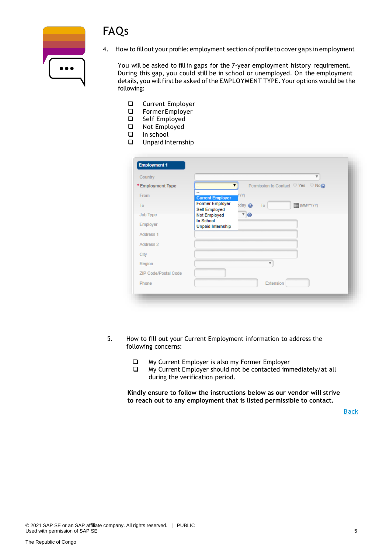



4. How to fillout your profile: employment section of profile to cover gaps in employment

You will be asked to fill in gaps for the 7-year employment history requirement. During this gap, you could still be in school or unemployed. On the employment details, you will first be asked of the EMPLOYMENT TYPE. Your options would be the following:

- ❑ Current Employer
- ❑ Former Employer
- ❑ Self Employed
- ❑ Not Employed
- ❑ In school
- ❑ Unpaid Internship

| Country              |                                | $\overline{\mathbf{v}}$                |
|----------------------|--------------------------------|----------------------------------------|
| *Employment Type     | -                              | Permission to Contact ○ Yes ○ No@<br>▼ |
| From                 | --<br><b>Current Employer</b>  | YY)                                    |
| To                   | <b>Former Employer</b>         | (MMYYYYY)<br>pday<br>To                |
| Job Type             | Self Employed<br>Not Employed  | $\sqrt{9}$                             |
| Employer             | In School<br>Unpaid Internship |                                        |
| Address 1            |                                |                                        |
| Address 2            |                                |                                        |
| City                 |                                |                                        |
| Region               |                                | v                                      |
| ZIP Code/Postal Code |                                |                                        |
| Phone                |                                | Extension                              |

- 5. How to fill out your Current Employment information to address the following concerns:
	- ❑ My Current Employer is also my Former Employer
	- ❑ My Current Employer should not be contacted immediately/at all during the verification period.

**Kindly ensure to follow the instructions below as our vendor will strive to reach out to any employment that is listed permissible to contact.**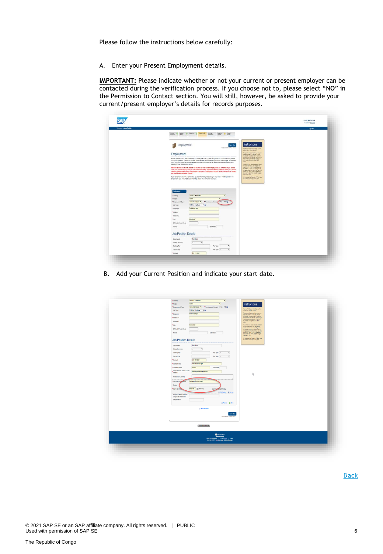Please follow the instructions below carefully:

A. Enter your Present Employment details.

**IMPORTANT:** Please indicate whether or not your current or present employer can be contacted during the verification process. If you choose not to, please select "**NO**" in the Permission to Contact section. You will still, however, be asked to provide your current/present employer's details for records purposes.

| Wektomer: Andy TestDA |                                                                                                                                                                                                                                                                                                                                                                                                                 | Leg Out |
|-----------------------|-----------------------------------------------------------------------------------------------------------------------------------------------------------------------------------------------------------------------------------------------------------------------------------------------------------------------------------------------------------------------------------------------------------------|---------|
|                       | livene: O lates O insuran C impaper<br><b>CHEM</b><br>Deterest<br>$\frac{1}{2}$ - forms<br><b>PLUTA</b><br>wire dos<br>· Ligitian II                                                                                                                                                                                                                                                                            |         |
|                       |                                                                                                                                                                                                                                                                                                                                                                                                                 |         |
|                       | Instructions<br>Employment<br>Seve New<br>Former # 102428 HATCH<br>Reported Note and respond to Austine.                                                                                                                                                                                                                                                                                                        |         |
|                       | assist became is about.<br>Employment                                                                                                                                                                                                                                                                                                                                                                           |         |
|                       | The general Learnston's precise<br>one extreme 15 minutes in use<br>you happen to be preventing the control of the state of the state<br>control to the manner function plan<br>Please complete your full employment history for the past seven (?) years and provide the contact details of your HR<br>me ablicanciar ennis district.                                                                          |         |
|                       | en treb domine Sof NOV<br>or Payroll department. If this is not available, gissen provide the information of your former line manager, and note that<br><b>basis</b><br>FASY will still by its proceed in contacting the respective departments per the acadistic numbers and fund, prior to<br>deleting to your stated contact person:<br>track entering to the second land of control terms on your engine to |         |
|                       | materials repeated function<br>INFORTABLE You will need to indicate whather or not your ourset employer can be contacted. If you choose<br>"Yes', your current employer may be contacted immediately. If you hald different positions within your current<br>racipos to the motifizers the majority                                                                                                             |         |
|                       | company, please make sure to include them in the present engineerit wector, as FADV will strive to contact<br>dobin wiy "could of the progress be".<br>Ford at the cap of the peer to holizee<br>any employment marketi as "former".<br>to a specific tarri-                                                                                                                                                    |         |
|                       | If you do not have any volk experience or you are not currently versityed, you may choose first Employed in the<br>For Help, can the "Comband" C college"<br>Employment Type: If you held a paid internet in please choose Former Employer.<br>les loged at throp pline semi-                                                                                                                                   |         |
|                       |                                                                                                                                                                                                                                                                                                                                                                                                                 |         |
|                       |                                                                                                                                                                                                                                                                                                                                                                                                                 |         |
|                       | Engloyment 1.                                                                                                                                                                                                                                                                                                                                                                                                   |         |
|                       | UNITED HAVECOM<br>*County                                                                                                                                                                                                                                                                                                                                                                                       |         |
|                       | * lispon<br>Essec<br>* Drainyment Type<br>Current Emaltyre # Permission to Contage 17 Yes # 78xQ                                                                                                                                                                                                                                                                                                                |         |
|                       | Full me Employee 7 (p)<br>Jidi Type                                                                                                                                                                                                                                                                                                                                                                             |         |
|                       | First Advantage<br>* Employer                                                                                                                                                                                                                                                                                                                                                                                   |         |
|                       | *Address 1                                                                                                                                                                                                                                                                                                                                                                                                      |         |
|                       | Address 2                                                                                                                                                                                                                                                                                                                                                                                                       |         |
|                       | Coktester<br>*Cty                                                                                                                                                                                                                                                                                                                                                                                               |         |
|                       | ZP Code/Poital Code                                                                                                                                                                                                                                                                                                                                                                                             |         |
|                       | Phone:<br><b>Talanson</b>                                                                                                                                                                                                                                                                                                                                                                                       |         |
|                       | <b>Job/Position Details</b>                                                                                                                                                                                                                                                                                                                                                                                     |         |
|                       | Oparzione                                                                                                                                                                                                                                                                                                                                                                                                       |         |
|                       | Department                                                                                                                                                                                                                                                                                                                                                                                                      |         |
|                       | Salary Currency                                                                                                                                                                                                                                                                                                                                                                                                 |         |
|                       | Starting Pay<br>Pay 7 ppe .-<br>٠                                                                                                                                                                                                                                                                                                                                                                               |         |
|                       | Pay Type -<br>Current Pay<br>*Contact<br>Line Manager                                                                                                                                                                                                                                                                                                                                                           |         |

B. Add your Current Position and indicate your start date.

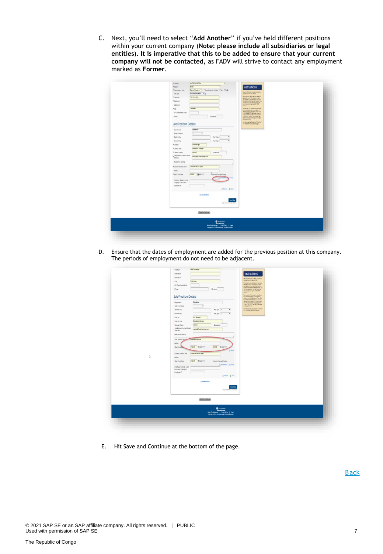C. Next, you'll need to select "**Add Another**" if you've held different positions within your current company (**Note: please include all subsidiaries or legal entities**). **It is imperative that this to be added to ensure that your current company will not be contacted,** as FADV will strive to contact any employment marked as **Former**.

| *County<br>UNITED NNGCON<br>$\bullet$                                                                                                                                                                                                                                                                                                                                                                                                                                                                                                                                                   |  |
|-----------------------------------------------------------------------------------------------------------------------------------------------------------------------------------------------------------------------------------------------------------------------------------------------------------------------------------------------------------------------------------------------------------------------------------------------------------------------------------------------------------------------------------------------------------------------------------------|--|
| * Region<br><b>Exer</b><br>$\cdot$<br>Instructions                                                                                                                                                                                                                                                                                                                                                                                                                                                                                                                                      |  |
| Current Employer * * Fermination to Contact 1794 * Rog<br>*Employment Type                                                                                                                                                                                                                                                                                                                                                                                                                                                                                                              |  |
| Regular Skitchew model by a pelos<br>Ful-time Employee 7 G<br>Job Type                                                                                                                                                                                                                                                                                                                                                                                                                                                                                                                  |  |
| Fird Advantage<br>*Employer                                                                                                                                                                                                                                                                                                                                                                                                                                                                                                                                                             |  |
| $\begin{array}{l} \displaystyle \text{The general assumption is a set of the empty map} \\ \hline \hline \text{where } \mathbf{0} \text{ is the same number of inputings} \\ \hline \text{where } \mathbf{0} \text{ is the same number of inputings} \\ \text{where } \mathbf{0} \text{ is the same number of inputings} \\ \hline \text{or } \mathbf{0} \text{ is the inputings} \\ \hline \text{or } \mathbf{0} \text{ is the inputings} \\ \hline \text{or } \mathbf{0} \text{ is the inputings} \\ \hline \text{or } \mathbf{0} \text{ is the inputings} \end{array}$<br>*Atdres 1. |  |
| Address 2<br><b>Dutter</b>                                                                                                                                                                                                                                                                                                                                                                                                                                                                                                                                                              |  |
| *ciy<br>Collesler<br>Your written will be somed an structured                                                                                                                                                                                                                                                                                                                                                                                                                                                                                                                           |  |
| 2P Code/Fordal Code                                                                                                                                                                                                                                                                                                                                                                                                                                                                                                                                                                     |  |
| The projection of participates<br>for projections of participates<br>projections of participates<br>projections of the projections of the projection<br>comparations of the projections of the projection<br>projections of the projections o<br>Phone<br>Extension                                                                                                                                                                                                                                                                                                                     |  |
| Turney you the "Duestered Clus Henr"<br>Instituted and engine page<br><b>Job/Position Details</b>                                                                                                                                                                                                                                                                                                                                                                                                                                                                                       |  |
| Concitions<br>Department                                                                                                                                                                                                                                                                                                                                                                                                                                                                                                                                                                |  |
| Salary Currency                                                                                                                                                                                                                                                                                                                                                                                                                                                                                                                                                                         |  |
| ٠<br>Starting Pay<br>$PeyType$ -                                                                                                                                                                                                                                                                                                                                                                                                                                                                                                                                                        |  |
| v<br>Cartest Pay<br>Pay Type: -                                                                                                                                                                                                                                                                                                                                                                                                                                                                                                                                                         |  |
| *Contact<br>Line Manager                                                                                                                                                                                                                                                                                                                                                                                                                                                                                                                                                                |  |
| *Contact Title<br><b>Operations Manager</b>                                                                                                                                                                                                                                                                                                                                                                                                                                                                                                                                             |  |
| *Contact Phone<br>scools.<br>Extension                                                                                                                                                                                                                                                                                                                                                                                                                                                                                                                                                  |  |
| Employment Contact Email<br>contact@finitativantage.com                                                                                                                                                                                                                                                                                                                                                                                                                                                                                                                                 |  |
| Asbess                                                                                                                                                                                                                                                                                                                                                                                                                                                                                                                                                                                  |  |
| Reason for Leaving                                                                                                                                                                                                                                                                                                                                                                                                                                                                                                                                                                      |  |
| *Current Position Held<br>Customer Dervice Agent                                                                                                                                                                                                                                                                                                                                                                                                                                                                                                                                        |  |
| Dates                                                                                                                                                                                                                                                                                                                                                                                                                                                                                                                                                                                   |  |
| 412019 图 Minny<br>Current Through Today<br>* Start / End Date                                                                                                                                                                                                                                                                                                                                                                                                                                                                                                                           |  |
| Employer Name in Local                                                                                                                                                                                                                                                                                                                                                                                                                                                                                                                                                                  |  |
| Language Characters                                                                                                                                                                                                                                                                                                                                                                                                                                                                                                                                                                     |  |
| Employee ID                                                                                                                                                                                                                                                                                                                                                                                                                                                                                                                                                                             |  |
| STREET & DIRE                                                                                                                                                                                                                                                                                                                                                                                                                                                                                                                                                                           |  |
| G. Add Arother                                                                                                                                                                                                                                                                                                                                                                                                                                                                                                                                                                          |  |
|                                                                                                                                                                                                                                                                                                                                                                                                                                                                                                                                                                                         |  |
| <b>Saw Now</b><br><b>Popramia WINSTORY</b>                                                                                                                                                                                                                                                                                                                                                                                                                                                                                                                                              |  |
|                                                                                                                                                                                                                                                                                                                                                                                                                                                                                                                                                                                         |  |
|                                                                                                                                                                                                                                                                                                                                                                                                                                                                                                                                                                                         |  |
| (Seekstüme)                                                                                                                                                                                                                                                                                                                                                                                                                                                                                                                                                                             |  |
|                                                                                                                                                                                                                                                                                                                                                                                                                                                                                                                                                                                         |  |
|                                                                                                                                                                                                                                                                                                                                                                                                                                                                                                                                                                                         |  |
| $\begin{tabular}{ l p{0.5cm} } \hline & \multicolumn{3}{ l }{\textbf{Orr}.\textbf{Adaring}}\\ \hline & \multicolumn{2}{ l }{\textbf{Orr}.\textbf{Adaring}}\\ \hline & \multicolumn{2}{ l }{\textbf{For}.\textbf{Adaring}} & \multicolumn{2}{ l }{\textbf{For}.\textbf{Adaring}} & \multicolumn{2}{ l }{\textbf{For}.\textbf{Adaring}}\\ \hline \end{tabular} \vspace{0.08in} \begin{tabular}{ l } \hline & \multicolumn{2}{ l }{\textbf{For}.\textbf{Adaring}} & \$                                                                                                                     |  |
|                                                                                                                                                                                                                                                                                                                                                                                                                                                                                                                                                                                         |  |
|                                                                                                                                                                                                                                                                                                                                                                                                                                                                                                                                                                                         |  |

D. Ensure that the dates of employment are added for the previous position at this company. The periods of employment do not need to be adjacent.

| D | * Address 1<br>Address 2<br>Colchester<br>*Ctr<br><b>ZIP Codo Postal Code</b><br>Phone:<br>Extension<br><b>Job/Position Details</b><br>Operations<br><b>Department</b><br>$\overline{\mathbf{r}}$<br>Salary Camerey<br>٠<br>Pay Type -<br>$\bullet$<br>Sterling Pay<br>Ŧ<br>Current Pay<br>Pay Type -<br>*Contact<br>Line Manager<br>*ContactTitle<br><b>Operators Wanager</b><br>*Contact Phone<br>xxxxxx<br>Extension<br>Employment Contact Email<br>contact@festaciantage.com<br>Address<br>Researchy Leaving<br><b>COURSES</b><br>Complicies analyst<br>*First Position Register<br>Difer<br>120018 El (Mannin)<br>* Start / End Elita<br>et2016 图(Minh)<br><b>Q Firms</b><br>* Current Position Held<br>Customer Senite Agent<br>Didies<br>412019 Blokenmy<br>* Start / End Date<br>Corrent Through Today<br>@Att Autore B Renad<br>Employer Name in Local<br>Language Characters<br>Employee ID<br>Glenne @ Dre<br><b>GASS Acother</b><br><b>Saw Now</b><br>Parcenta IDF25A15 | Instructions<br><b>Resinstruction connection protein</b><br>olesi toranted melik.<br>$\begin{array}{l} \texttt{Traguer} \texttt{cl} \texttt{a} \texttt{a} \texttt{a} \texttt{a} \texttt{b} \texttt{b} \texttt{c} \texttt{b} \texttt{c} \texttt{c} \texttt{b} \texttt{c} \texttt{c} \texttt{c} \texttt{c} \texttt{c} \texttt{c} \texttt{c} \texttt{c} \texttt{c} \texttt{c} \texttt{c} \texttt{c} \texttt{c} \texttt{c} \texttt{c} \texttt{c} \texttt{c} \texttt{c} \texttt{c} \texttt{c} \texttt{c} \texttt{c} \$<br>stylengy doing music spot<br>Two entries of be send end added 1<br>The amplitudes is await to contract the<br>amplitudes in the later (Figs) close<br>angle for a more later, pays do the DVS L CONTROL butter, pays<br>to the pays the best of the pays is await in the pays in the pays is the<br>limit in<br>memorizine:<br>For Water and the Quastional Contract"<br>Invitation for the page |  |
|---|-------------------------------------------------------------------------------------------------------------------------------------------------------------------------------------------------------------------------------------------------------------------------------------------------------------------------------------------------------------------------------------------------------------------------------------------------------------------------------------------------------------------------------------------------------------------------------------------------------------------------------------------------------------------------------------------------------------------------------------------------------------------------------------------------------------------------------------------------------------------------------------------------------------------------------------------------------------------------------------|-----------------------------------------------------------------------------------------------------------------------------------------------------------------------------------------------------------------------------------------------------------------------------------------------------------------------------------------------------------------------------------------------------------------------------------------------------------------------------------------------------------------------------------------------------------------------------------------------------------------------------------------------------------------------------------------------------------------------------------------------------------------------------------------------------------------------------------------------------------------------------------------------------------------------|--|
|   | <b>SeaksCorous</b><br><b>O</b> his Joange<br>Denckberton<br>Neutrich deurope   Prezyloicy   Legal<br>Copyright B 2015 Frickbarrage All Egits Rearver                                                                                                                                                                                                                                                                                                                                                                                                                                                                                                                                                                                                                                                                                                                                                                                                                                |                                                                                                                                                                                                                                                                                                                                                                                                                                                                                                                                                                                                                                                                                                                                                                                                                                                                                                                       |  |

E. Hit Save and Continue at the bottom of the page.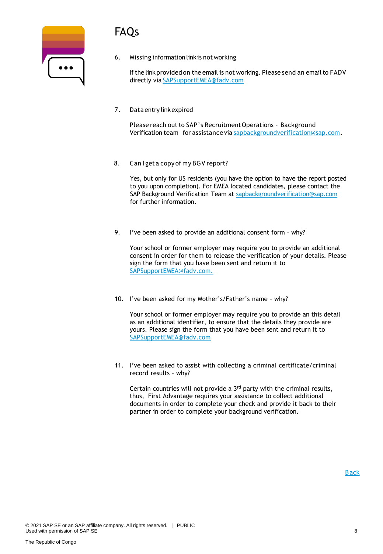### FAQs

| $\bullet\bullet\bullet$ |  |
|-------------------------|--|
|                         |  |

6. Missing information linkis not working

If the link provided on the email is not working. Please send an email to FADV directly via [SAPSupportEMEA@fadv.com](mailto:SAPSupportEMEA@fadv.com)

7. Data entry linkexpired

Please reach out to SAP's Recruitment Operations - Background Verification team for assistance via [sapbackgroundverification@sap.com.](mailto:sapbackgroundverification@sap.com)

8. Can I get a copy of my BGV report?

Yes, but only for US residents (you have the option to have the report posted to you upon completion). For EMEA located candidates, please contact the SAP Background Verification Team at [sapbackgroundverification@sap.com](mailto:sapbackgroundverification@sap.com) for further information.

9. I've been asked to provide an additional consent form – why?

Your school or former employer may require you to provide an additional consent in order for them to release the verification of your details. Please sign the form that you have been sent and return it to SAPSupportEMEA@fadv.com.

10. I've been asked for my Mother's/Father's name – why?

Your school or former employer may require you to provide an this detail as an additional identifier, to ensure that the details they provide are yours. Please sign the form that you have been sent and return it to [SAPSupportEMEA@fadv.com](mailto:SAPSupportEMEA@fadv.com)

11. I've been asked to assist with collecting a criminal certificate/criminal record results – why?

Certain countries will not provide a 3rd party with the criminal results, thus, First Advantage requires your assistance to collect additional documents in order to complete your check and provide it back to their partner in order to complete your background verification.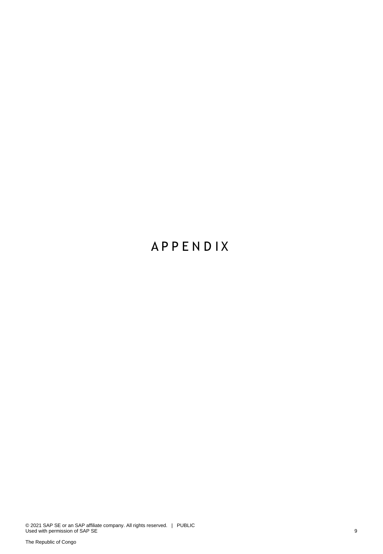### **A P P E N D I X**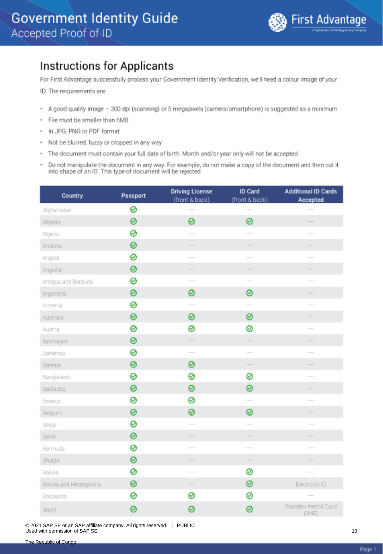#### <span id="page-9-0"></span>**Instructions for Applicants**

For First Advantage successfully process your Government Identity Verification, we'll need a colour image of your

ID. The requirements are:

- A good quality image 300 dpi (scanning) or 5 megapixels (camera/smartphone) is suggested as a minimum
- · File must be smaller than 6MB
- In JPG, PNG or PDF format
- Not be blurred, fuzzy or cropped in any way
- The document must contain your full date of birth. Month and/or year only will not be accepted
- Do not manipulate the document in any way. For example, do not make a copy of the document and then cut it into shape of an ID. This type of document will be rejected

| Country                | Passport | <b>Driving License</b><br>(front & back) | ID Card<br>(front & back) | <b>Additional ID Cards</b><br>Accepted |
|------------------------|----------|------------------------------------------|---------------------------|----------------------------------------|
| Afghanistan            | 0        |                                          |                           |                                        |
| Albania                | 0        | 0                                        | 0                         |                                        |
| Algeria                | ⊗        |                                          |                           |                                        |
| Andoma                 | 0        | ÷.                                       |                           |                                        |
| Angola                 | 0        | $\overline{\phantom{a}}$                 | $\overline{\phantom{0}}$  |                                        |
| Anguilla               | ⊗        |                                          | $\overline{\phantom{0}}$  |                                        |
| Antigua and Barbuda    | ⊗        | $\sim$                                   | $\sim$                    |                                        |
| Argentina              | 0        | 0                                        | 0                         | -                                      |
| Armenia                | ⊗        |                                          |                           |                                        |
| Australia              | 0        | 0                                        | 0                         |                                        |
| Austria                | ⊗        | 0                                        | 0                         | $\overline{\phantom{a}}$               |
| Azerbaijan             | 0        |                                          | $\frac{1}{2}$             |                                        |
| Bahamas                | ⊗        | $\overline{\phantom{a}}$                 | $\overline{\phantom{a}}$  |                                        |
| Bahrain                | 0        | 0                                        |                           |                                        |
| Bangladesh             | ⊗        | 0                                        | ⊗                         | $\overline{\phantom{a}}$               |
| Barbados               | 0        | 0                                        | 0                         |                                        |
| Belarus                | ⊗        | 0                                        | $\overline{\phantom{0}}$  |                                        |
| Belgium                | ⊗        | 0                                        | 0                         |                                        |
| Belize                 | ⊗        | $\overline{\phantom{a}}$                 | $\overline{\phantom{a}}$  |                                        |
| Benin                  | 0        |                                          |                           |                                        |
| Bermuda                | 0        | $\overline{\phantom{a}}$                 | $\sim$                    |                                        |
| Bhutan                 | ⊗        | $\qquad \qquad$                          | $\overline{\phantom{a}}$  |                                        |
| Bolivia                | ⊗        |                                          | 0                         |                                        |
| Bosnia and Herzegovina | 0        |                                          | ⊗                         | Electronic ID                          |
| Botswana               | ⊗        | 0                                        | ⊗                         |                                        |
| Brazil                 | 0        | ø                                        | 0                         | Resident Permit Card<br>(RNE)          |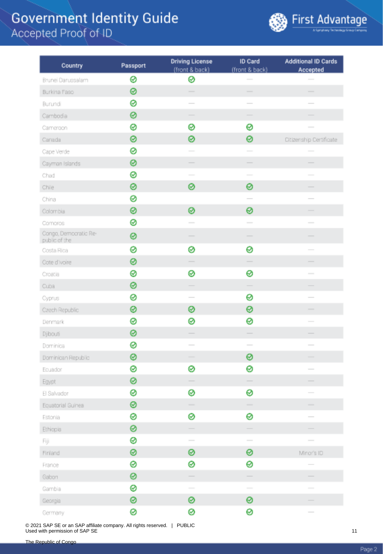

| Country                                | Passport | <b>Driving License</b>                                                                                                                                                                                                                                                                                                                                                                                                                          | ID Card                                                                                                                                                                                                                                                                                                                                                                                                                                                                    | <b>Additional ID Cards</b>                                                                                                                                                                                                                                                                                                                                                                                                                                                 |
|----------------------------------------|----------|-------------------------------------------------------------------------------------------------------------------------------------------------------------------------------------------------------------------------------------------------------------------------------------------------------------------------------------------------------------------------------------------------------------------------------------------------|----------------------------------------------------------------------------------------------------------------------------------------------------------------------------------------------------------------------------------------------------------------------------------------------------------------------------------------------------------------------------------------------------------------------------------------------------------------------------|----------------------------------------------------------------------------------------------------------------------------------------------------------------------------------------------------------------------------------------------------------------------------------------------------------------------------------------------------------------------------------------------------------------------------------------------------------------------------|
|                                        |          | (front & back)                                                                                                                                                                                                                                                                                                                                                                                                                                  | (front & back)                                                                                                                                                                                                                                                                                                                                                                                                                                                             | Accepted                                                                                                                                                                                                                                                                                                                                                                                                                                                                   |
| Brunei Darussalam                      | ⊗        | ⊗                                                                                                                                                                                                                                                                                                                                                                                                                                               |                                                                                                                                                                                                                                                                                                                                                                                                                                                                            |                                                                                                                                                                                                                                                                                                                                                                                                                                                                            |
| Burkina Faso                           | 0        | $\overline{\phantom{a}}$                                                                                                                                                                                                                                                                                                                                                                                                                        | $\overline{\phantom{a}}$                                                                                                                                                                                                                                                                                                                                                                                                                                                   | -                                                                                                                                                                                                                                                                                                                                                                                                                                                                          |
| Burundi                                | 0        |                                                                                                                                                                                                                                                                                                                                                                                                                                                 |                                                                                                                                                                                                                                                                                                                                                                                                                                                                            |                                                                                                                                                                                                                                                                                                                                                                                                                                                                            |
| Cambodia                               | 0        |                                                                                                                                                                                                                                                                                                                                                                                                                                                 |                                                                                                                                                                                                                                                                                                                                                                                                                                                                            |                                                                                                                                                                                                                                                                                                                                                                                                                                                                            |
| Cameroon                               | 0        | ⊗                                                                                                                                                                                                                                                                                                                                                                                                                                               | 0                                                                                                                                                                                                                                                                                                                                                                                                                                                                          |                                                                                                                                                                                                                                                                                                                                                                                                                                                                            |
| Canada                                 | 0        | 0                                                                                                                                                                                                                                                                                                                                                                                                                                               | ⊛                                                                                                                                                                                                                                                                                                                                                                                                                                                                          | Citizenship Certificate                                                                                                                                                                                                                                                                                                                                                                                                                                                    |
| Cape Verde                             | 0        |                                                                                                                                                                                                                                                                                                                                                                                                                                                 | $\sim$                                                                                                                                                                                                                                                                                                                                                                                                                                                                     |                                                                                                                                                                                                                                                                                                                                                                                                                                                                            |
| Cayman Islands                         | 0        |                                                                                                                                                                                                                                                                                                                                                                                                                                                 | -                                                                                                                                                                                                                                                                                                                                                                                                                                                                          |                                                                                                                                                                                                                                                                                                                                                                                                                                                                            |
| Chad                                   | 0        |                                                                                                                                                                                                                                                                                                                                                                                                                                                 |                                                                                                                                                                                                                                                                                                                                                                                                                                                                            |                                                                                                                                                                                                                                                                                                                                                                                                                                                                            |
| Chile                                  | 0        | 0                                                                                                                                                                                                                                                                                                                                                                                                                                               | 0                                                                                                                                                                                                                                                                                                                                                                                                                                                                          |                                                                                                                                                                                                                                                                                                                                                                                                                                                                            |
| China                                  | 0        |                                                                                                                                                                                                                                                                                                                                                                                                                                                 | $\overline{\phantom{a}}$                                                                                                                                                                                                                                                                                                                                                                                                                                                   | $\sim$                                                                                                                                                                                                                                                                                                                                                                                                                                                                     |
| Colombia                               | 0        | 0                                                                                                                                                                                                                                                                                                                                                                                                                                               | ⊗                                                                                                                                                                                                                                                                                                                                                                                                                                                                          |                                                                                                                                                                                                                                                                                                                                                                                                                                                                            |
| Compros                                | 0        |                                                                                                                                                                                                                                                                                                                                                                                                                                                 | $\overline{\phantom{a}}$                                                                                                                                                                                                                                                                                                                                                                                                                                                   | $\overline{\phantom{a}}$                                                                                                                                                                                                                                                                                                                                                                                                                                                   |
| Congo, Democratic Re-<br>public of the | 0        |                                                                                                                                                                                                                                                                                                                                                                                                                                                 |                                                                                                                                                                                                                                                                                                                                                                                                                                                                            |                                                                                                                                                                                                                                                                                                                                                                                                                                                                            |
| Costa Rica                             | 0        | ⊗                                                                                                                                                                                                                                                                                                                                                                                                                                               | 0                                                                                                                                                                                                                                                                                                                                                                                                                                                                          | $\frac{1}{2} \left( \frac{1}{2} \right) \left( \frac{1}{2} \right) \left( \frac{1}{2} \right) \left( \frac{1}{2} \right) \left( \frac{1}{2} \right) \left( \frac{1}{2} \right) \left( \frac{1}{2} \right) \left( \frac{1}{2} \right) \left( \frac{1}{2} \right) \left( \frac{1}{2} \right) \left( \frac{1}{2} \right) \left( \frac{1}{2} \right) \left( \frac{1}{2} \right) \left( \frac{1}{2} \right) \left( \frac{1}{2} \right) \left( \frac{1}{2} \right) \left( \frac$ |
| Cote d'Ivoire                          | 0        |                                                                                                                                                                                                                                                                                                                                                                                                                                                 | $\frac{1}{2} \left( \frac{1}{2} \right) \left( \frac{1}{2} \right) \left( \frac{1}{2} \right) \left( \frac{1}{2} \right) \left( \frac{1}{2} \right) \left( \frac{1}{2} \right) \left( \frac{1}{2} \right) \left( \frac{1}{2} \right) \left( \frac{1}{2} \right) \left( \frac{1}{2} \right) \left( \frac{1}{2} \right) \left( \frac{1}{2} \right) \left( \frac{1}{2} \right) \left( \frac{1}{2} \right) \left( \frac{1}{2} \right) \left( \frac{1}{2} \right) \left( \frac$ | $\overline{\phantom{a}}$                                                                                                                                                                                                                                                                                                                                                                                                                                                   |
| Croatia                                | ⊗        | ⊗                                                                                                                                                                                                                                                                                                                                                                                                                                               | 0                                                                                                                                                                                                                                                                                                                                                                                                                                                                          |                                                                                                                                                                                                                                                                                                                                                                                                                                                                            |
| Cuba                                   | 0        |                                                                                                                                                                                                                                                                                                                                                                                                                                                 |                                                                                                                                                                                                                                                                                                                                                                                                                                                                            |                                                                                                                                                                                                                                                                                                                                                                                                                                                                            |
| Cyprus                                 | 0        | $\overline{\phantom{a}}$                                                                                                                                                                                                                                                                                                                                                                                                                        | 0                                                                                                                                                                                                                                                                                                                                                                                                                                                                          | $\overline{\phantom{a}}$                                                                                                                                                                                                                                                                                                                                                                                                                                                   |
| Czech Republic                         | ⊗        | ⊗                                                                                                                                                                                                                                                                                                                                                                                                                                               | ⊗                                                                                                                                                                                                                                                                                                                                                                                                                                                                          | $\overline{\phantom{a}}$                                                                                                                                                                                                                                                                                                                                                                                                                                                   |
| Denmark                                | ⊗        | ø                                                                                                                                                                                                                                                                                                                                                                                                                                               | 0                                                                                                                                                                                                                                                                                                                                                                                                                                                                          | $\frac{1}{2}$                                                                                                                                                                                                                                                                                                                                                                                                                                                              |
| Djibouti                               | 0        |                                                                                                                                                                                                                                                                                                                                                                                                                                                 |                                                                                                                                                                                                                                                                                                                                                                                                                                                                            |                                                                                                                                                                                                                                                                                                                                                                                                                                                                            |
| Dominica                               | 0        |                                                                                                                                                                                                                                                                                                                                                                                                                                                 |                                                                                                                                                                                                                                                                                                                                                                                                                                                                            |                                                                                                                                                                                                                                                                                                                                                                                                                                                                            |
| Dominican Republic                     | 0        | $\overline{\phantom{a}}$                                                                                                                                                                                                                                                                                                                                                                                                                        | ⊗                                                                                                                                                                                                                                                                                                                                                                                                                                                                          | $\overline{\phantom{a}}$                                                                                                                                                                                                                                                                                                                                                                                                                                                   |
| Ecuador                                | 0        | ⊗                                                                                                                                                                                                                                                                                                                                                                                                                                               | 0                                                                                                                                                                                                                                                                                                                                                                                                                                                                          | $\frac{1}{2} \left( \frac{1}{2} \right) \left( \frac{1}{2} \right) \left( \frac{1}{2} \right) \left( \frac{1}{2} \right) \left( \frac{1}{2} \right) \left( \frac{1}{2} \right) \left( \frac{1}{2} \right) \left( \frac{1}{2} \right) \left( \frac{1}{2} \right) \left( \frac{1}{2} \right) \left( \frac{1}{2} \right) \left( \frac{1}{2} \right) \left( \frac{1}{2} \right) \left( \frac{1}{2} \right) \left( \frac{1}{2} \right) \left( \frac{1}{2} \right) \left( \frac$ |
| Egypt                                  | ⊗        |                                                                                                                                                                                                                                                                                                                                                                                                                                                 |                                                                                                                                                                                                                                                                                                                                                                                                                                                                            |                                                                                                                                                                                                                                                                                                                                                                                                                                                                            |
| El Salvador                            | 0        | ⊗                                                                                                                                                                                                                                                                                                                                                                                                                                               | 0                                                                                                                                                                                                                                                                                                                                                                                                                                                                          |                                                                                                                                                                                                                                                                                                                                                                                                                                                                            |
| Equatorial Guinea                      | ◎        | -                                                                                                                                                                                                                                                                                                                                                                                                                                               |                                                                                                                                                                                                                                                                                                                                                                                                                                                                            | -                                                                                                                                                                                                                                                                                                                                                                                                                                                                          |
| Estonia                                | 0        | ⊗                                                                                                                                                                                                                                                                                                                                                                                                                                               | 0                                                                                                                                                                                                                                                                                                                                                                                                                                                                          |                                                                                                                                                                                                                                                                                                                                                                                                                                                                            |
| Ethiopia                               | 0        |                                                                                                                                                                                                                                                                                                                                                                                                                                                 |                                                                                                                                                                                                                                                                                                                                                                                                                                                                            |                                                                                                                                                                                                                                                                                                                                                                                                                                                                            |
| Fiji                                   | 0        | $\frac{1}{2} \left( \frac{1}{2} \right)^2 + \frac{1}{2} \left( \frac{1}{2} \right)^2 + \frac{1}{2} \left( \frac{1}{2} \right)^2 + \frac{1}{2} \left( \frac{1}{2} \right)^2 + \frac{1}{2} \left( \frac{1}{2} \right)^2 + \frac{1}{2} \left( \frac{1}{2} \right)^2 + \frac{1}{2} \left( \frac{1}{2} \right)^2 + \frac{1}{2} \left( \frac{1}{2} \right)^2 + \frac{1}{2} \left( \frac{1}{2} \right)^2 + \frac{1}{2} \left( \frac{1}{2} \right)^2 +$ | $\hspace{1.5cm} \overline{\phantom{1}}$                                                                                                                                                                                                                                                                                                                                                                                                                                    | $\overline{\phantom{a}}$                                                                                                                                                                                                                                                                                                                                                                                                                                                   |
| Finland                                | 0        | ⊗                                                                                                                                                                                                                                                                                                                                                                                                                                               | 0                                                                                                                                                                                                                                                                                                                                                                                                                                                                          | Minor's ID                                                                                                                                                                                                                                                                                                                                                                                                                                                                 |
| France                                 | 0        | ⊗                                                                                                                                                                                                                                                                                                                                                                                                                                               | 0                                                                                                                                                                                                                                                                                                                                                                                                                                                                          |                                                                                                                                                                                                                                                                                                                                                                                                                                                                            |
| Gabon                                  | 0        | $\hspace{1.0cm} \overbrace{ }^{}$                                                                                                                                                                                                                                                                                                                                                                                                               | $\hspace{1.0cm} \overbrace{ }^{}$                                                                                                                                                                                                                                                                                                                                                                                                                                          |                                                                                                                                                                                                                                                                                                                                                                                                                                                                            |
| Gambia                                 | ⊗        | $\sim$                                                                                                                                                                                                                                                                                                                                                                                                                                          | $\sim$                                                                                                                                                                                                                                                                                                                                                                                                                                                                     | $\sim$                                                                                                                                                                                                                                                                                                                                                                                                                                                                     |
| Georgia                                | 0        | 0                                                                                                                                                                                                                                                                                                                                                                                                                                               | 0                                                                                                                                                                                                                                                                                                                                                                                                                                                                          |                                                                                                                                                                                                                                                                                                                                                                                                                                                                            |
| Germany                                | 0        | 0                                                                                                                                                                                                                                                                                                                                                                                                                                               | 0                                                                                                                                                                                                                                                                                                                                                                                                                                                                          |                                                                                                                                                                                                                                                                                                                                                                                                                                                                            |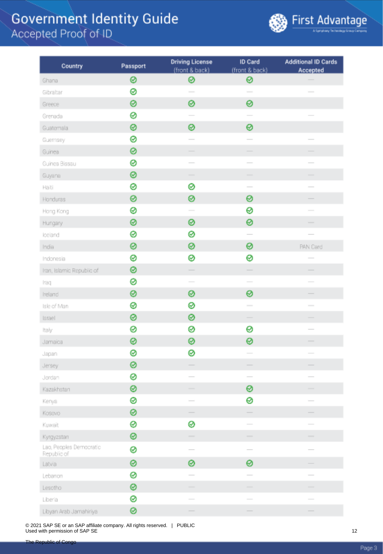

| Country                   | Passport | <b>Driving License</b>                                                                                                                                                                                                                                                                                                                                                                                                                          | ID Card                                                                                                                                                                                                                                                                                                                                                                                                                                                                    | <b>Additional ID Cards</b> |
|---------------------------|----------|-------------------------------------------------------------------------------------------------------------------------------------------------------------------------------------------------------------------------------------------------------------------------------------------------------------------------------------------------------------------------------------------------------------------------------------------------|----------------------------------------------------------------------------------------------------------------------------------------------------------------------------------------------------------------------------------------------------------------------------------------------------------------------------------------------------------------------------------------------------------------------------------------------------------------------------|----------------------------|
| Ghana                     | ◎        | (front & back)<br>⊗                                                                                                                                                                                                                                                                                                                                                                                                                             | (front & back)<br>⊗                                                                                                                                                                                                                                                                                                                                                                                                                                                        | Accepted                   |
| Gibraltar                 | ⊗        | $\overline{\phantom{a}}$                                                                                                                                                                                                                                                                                                                                                                                                                        | $\overline{\phantom{a}}$                                                                                                                                                                                                                                                                                                                                                                                                                                                   |                            |
| Greece                    | ๏        | ⊗                                                                                                                                                                                                                                                                                                                                                                                                                                               | 0                                                                                                                                                                                                                                                                                                                                                                                                                                                                          |                            |
| Grenada                   | 0        |                                                                                                                                                                                                                                                                                                                                                                                                                                                 |                                                                                                                                                                                                                                                                                                                                                                                                                                                                            |                            |
| Guatemala                 | 0        | ⊗                                                                                                                                                                                                                                                                                                                                                                                                                                               | 0                                                                                                                                                                                                                                                                                                                                                                                                                                                                          |                            |
| Guernsey                  | 0        | $\sim$                                                                                                                                                                                                                                                                                                                                                                                                                                          | $\frac{1}{2}$                                                                                                                                                                                                                                                                                                                                                                                                                                                              | $\frac{1}{2}$              |
| Guinea                    | 0        |                                                                                                                                                                                                                                                                                                                                                                                                                                                 |                                                                                                                                                                                                                                                                                                                                                                                                                                                                            |                            |
| Guinea Bissau             | 0        |                                                                                                                                                                                                                                                                                                                                                                                                                                                 | $\sim$                                                                                                                                                                                                                                                                                                                                                                                                                                                                     |                            |
| Guyana                    | 0        |                                                                                                                                                                                                                                                                                                                                                                                                                                                 | -                                                                                                                                                                                                                                                                                                                                                                                                                                                                          |                            |
| Halti                     | ø        | 0                                                                                                                                                                                                                                                                                                                                                                                                                                               | $\frac{1}{2}$                                                                                                                                                                                                                                                                                                                                                                                                                                                              | $\overline{\phantom{a}}$   |
| Honduras                  | ๏        | ⊗                                                                                                                                                                                                                                                                                                                                                                                                                                               | 0                                                                                                                                                                                                                                                                                                                                                                                                                                                                          |                            |
| Hong Kong                 | ⊗        |                                                                                                                                                                                                                                                                                                                                                                                                                                                 | ⊗                                                                                                                                                                                                                                                                                                                                                                                                                                                                          |                            |
| Hungary                   | ◎        | ⊗                                                                                                                                                                                                                                                                                                                                                                                                                                               | 0                                                                                                                                                                                                                                                                                                                                                                                                                                                                          |                            |
| loeland                   | ø        | ⊗                                                                                                                                                                                                                                                                                                                                                                                                                                               | $\frac{1}{2} \left( \frac{1}{2} \right) \left( \frac{1}{2} \right) \left( \frac{1}{2} \right) \left( \frac{1}{2} \right) \left( \frac{1}{2} \right) \left( \frac{1}{2} \right) \left( \frac{1}{2} \right) \left( \frac{1}{2} \right) \left( \frac{1}{2} \right) \left( \frac{1}{2} \right) \left( \frac{1}{2} \right) \left( \frac{1}{2} \right) \left( \frac{1}{2} \right) \left( \frac{1}{2} \right) \left( \frac{1}{2} \right) \left( \frac{1}{2} \right) \left( \frac$ |                            |
| India                     | 0        | ⊗                                                                                                                                                                                                                                                                                                                                                                                                                                               | 0                                                                                                                                                                                                                                                                                                                                                                                                                                                                          | PAN Card                   |
| Indonesia                 | ⊗        | ⊗                                                                                                                                                                                                                                                                                                                                                                                                                                               | 0                                                                                                                                                                                                                                                                                                                                                                                                                                                                          |                            |
| Iran, Islamic Republic of | ⊗        |                                                                                                                                                                                                                                                                                                                                                                                                                                                 |                                                                                                                                                                                                                                                                                                                                                                                                                                                                            |                            |
| Iraq                      | ⊗        |                                                                                                                                                                                                                                                                                                                                                                                                                                                 |                                                                                                                                                                                                                                                                                                                                                                                                                                                                            |                            |
| Ireland                   | 0        | ⊗                                                                                                                                                                                                                                                                                                                                                                                                                                               | 0                                                                                                                                                                                                                                                                                                                                                                                                                                                                          |                            |
| Isle of Man               | ⊗        | ⊗                                                                                                                                                                                                                                                                                                                                                                                                                                               |                                                                                                                                                                                                                                                                                                                                                                                                                                                                            | $\sim$                     |
| Israel                    | ◎        | 0                                                                                                                                                                                                                                                                                                                                                                                                                                               |                                                                                                                                                                                                                                                                                                                                                                                                                                                                            |                            |
| Italy                     | 0        | ⊗                                                                                                                                                                                                                                                                                                                                                                                                                                               | 0                                                                                                                                                                                                                                                                                                                                                                                                                                                                          |                            |
| Jamaica                   | 0        | ⊗                                                                                                                                                                                                                                                                                                                                                                                                                                               | 0                                                                                                                                                                                                                                                                                                                                                                                                                                                                          |                            |
| Japan                     | 0        | ⊗                                                                                                                                                                                                                                                                                                                                                                                                                                               |                                                                                                                                                                                                                                                                                                                                                                                                                                                                            |                            |
| Jersey                    | ø        |                                                                                                                                                                                                                                                                                                                                                                                                                                                 |                                                                                                                                                                                                                                                                                                                                                                                                                                                                            |                            |
| Jordan                    | 0        |                                                                                                                                                                                                                                                                                                                                                                                                                                                 | $\overline{\phantom{a}}$                                                                                                                                                                                                                                                                                                                                                                                                                                                   |                            |
| Kazakhstan                | 0        | $\overline{\phantom{a}}$                                                                                                                                                                                                                                                                                                                                                                                                                        | 0                                                                                                                                                                                                                                                                                                                                                                                                                                                                          | -                          |
| Kenya                     | 0        |                                                                                                                                                                                                                                                                                                                                                                                                                                                 | 0                                                                                                                                                                                                                                                                                                                                                                                                                                                                          |                            |
| Kosovo                    | ⊗        |                                                                                                                                                                                                                                                                                                                                                                                                                                                 |                                                                                                                                                                                                                                                                                                                                                                                                                                                                            |                            |
| Kuwait                    | ⊗        | ⊗                                                                                                                                                                                                                                                                                                                                                                                                                                               |                                                                                                                                                                                                                                                                                                                                                                                                                                                                            |                            |
| Kyrgyzstan                | ⊗        | $\sim$                                                                                                                                                                                                                                                                                                                                                                                                                                          | $\sim$                                                                                                                                                                                                                                                                                                                                                                                                                                                                     | $\overline{\phantom{a}}$   |
| Lao, Peoples Democratic   | 0        |                                                                                                                                                                                                                                                                                                                                                                                                                                                 | $\frac{1}{2} \left( \frac{1}{2} \right) \left( \frac{1}{2} \right) \left( \frac{1}{2} \right) \left( \frac{1}{2} \right) \left( \frac{1}{2} \right) \left( \frac{1}{2} \right) \left( \frac{1}{2} \right) \left( \frac{1}{2} \right) \left( \frac{1}{2} \right) \left( \frac{1}{2} \right) \left( \frac{1}{2} \right) \left( \frac{1}{2} \right) \left( \frac{1}{2} \right) \left( \frac{1}{2} \right) \left( \frac{1}{2} \right) \left( \frac{1}{2} \right) \left( \frac$ | $\overline{\phantom{a}}$   |
| Republic of               |          |                                                                                                                                                                                                                                                                                                                                                                                                                                                 |                                                                                                                                                                                                                                                                                                                                                                                                                                                                            |                            |
| Latvia                    | ⊗        | 0                                                                                                                                                                                                                                                                                                                                                                                                                                               | 0                                                                                                                                                                                                                                                                                                                                                                                                                                                                          |                            |
| Lebanon                   | 0        |                                                                                                                                                                                                                                                                                                                                                                                                                                                 |                                                                                                                                                                                                                                                                                                                                                                                                                                                                            | $\overline{\phantom{a}}$   |
| Lesotho                   | ◎        | $\frac{1}{2} \left( \frac{1}{2} \right)^2 + \frac{1}{2} \left( \frac{1}{2} \right)^2 + \frac{1}{2} \left( \frac{1}{2} \right)^2 + \frac{1}{2} \left( \frac{1}{2} \right)^2 + \frac{1}{2} \left( \frac{1}{2} \right)^2 + \frac{1}{2} \left( \frac{1}{2} \right)^2 + \frac{1}{2} \left( \frac{1}{2} \right)^2 + \frac{1}{2} \left( \frac{1}{2} \right)^2 + \frac{1}{2} \left( \frac{1}{2} \right)^2 + \frac{1}{2} \left( \frac{1}{2} \right)^2 +$ | $\overline{\phantom{a}}$                                                                                                                                                                                                                                                                                                                                                                                                                                                   | -                          |
| Liberia                   | ⊗        |                                                                                                                                                                                                                                                                                                                                                                                                                                                 |                                                                                                                                                                                                                                                                                                                                                                                                                                                                            |                            |
| Libyan Arab Jamahiriya    | ⊗        |                                                                                                                                                                                                                                                                                                                                                                                                                                                 |                                                                                                                                                                                                                                                                                                                                                                                                                                                                            |                            |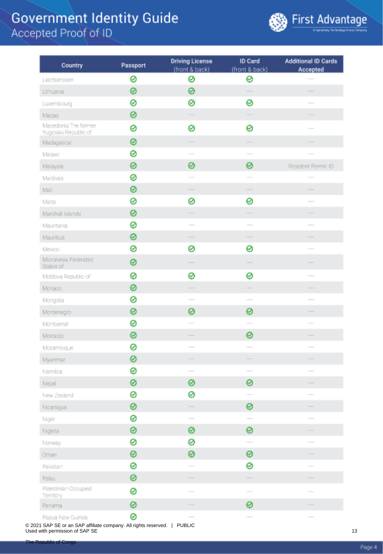

| Country                                      | Passport | <b>Driving License</b><br>(front & back) | ID Card<br>(front & back) | <b>Additional ID Cards</b><br>Accepted                                                                                                                                                                                                                                                                                                                                                                                                                                     |
|----------------------------------------------|----------|------------------------------------------|---------------------------|----------------------------------------------------------------------------------------------------------------------------------------------------------------------------------------------------------------------------------------------------------------------------------------------------------------------------------------------------------------------------------------------------------------------------------------------------------------------------|
| Liechtenstein                                | 0        | ⊗                                        | ⊗                         |                                                                                                                                                                                                                                                                                                                                                                                                                                                                            |
| Lithuania                                    | 0        | ⊗                                        |                           |                                                                                                                                                                                                                                                                                                                                                                                                                                                                            |
| Luxembourg                                   | ø        | ⊗                                        | 0                         |                                                                                                                                                                                                                                                                                                                                                                                                                                                                            |
| Macao                                        | 0        |                                          |                           |                                                                                                                                                                                                                                                                                                                                                                                                                                                                            |
| Macedonia The former<br>Yugoslav Republic of | 0        | 0                                        | 0                         |                                                                                                                                                                                                                                                                                                                                                                                                                                                                            |
| Madagascar                                   | 0        |                                          |                           |                                                                                                                                                                                                                                                                                                                                                                                                                                                                            |
| Malawi                                       | 0        |                                          |                           |                                                                                                                                                                                                                                                                                                                                                                                                                                                                            |
| Malaysia                                     | 0        | ⊗                                        | 0                         | Resident Permit ID                                                                                                                                                                                                                                                                                                                                                                                                                                                         |
| Maldives                                     | 0        |                                          |                           | $\sim$                                                                                                                                                                                                                                                                                                                                                                                                                                                                     |
| Mali                                         | ⊗        | $\overline{\phantom{a}}$                 | $\overline{\phantom{a}}$  | $\frac{1}{2} \left( \frac{1}{2} \right) \left( \frac{1}{2} \right) \left( \frac{1}{2} \right) \left( \frac{1}{2} \right) \left( \frac{1}{2} \right) \left( \frac{1}{2} \right) \left( \frac{1}{2} \right) \left( \frac{1}{2} \right) \left( \frac{1}{2} \right) \left( \frac{1}{2} \right) \left( \frac{1}{2} \right) \left( \frac{1}{2} \right) \left( \frac{1}{2} \right) \left( \frac{1}{2} \right) \left( \frac{1}{2} \right) \left( \frac{1}{2} \right) \left( \frac$ |
| Malta                                        | ø        | ⊗                                        | 0                         | $\frac{1}{2} \left( \frac{1}{2} \right) \left( \frac{1}{2} \right) \left( \frac{1}{2} \right) \left( \frac{1}{2} \right) \left( \frac{1}{2} \right) \left( \frac{1}{2} \right) \left( \frac{1}{2} \right) \left( \frac{1}{2} \right) \left( \frac{1}{2} \right) \left( \frac{1}{2} \right) \left( \frac{1}{2} \right) \left( \frac{1}{2} \right) \left( \frac{1}{2} \right) \left( \frac{1}{2} \right) \left( \frac{1}{2} \right) \left( \frac{1}{2} \right) \left( \frac$ |
| Marshall Islands                             | 0        |                                          |                           |                                                                                                                                                                                                                                                                                                                                                                                                                                                                            |
| Mauritania                                   | 0        |                                          | $\sim$                    |                                                                                                                                                                                                                                                                                                                                                                                                                                                                            |
| Mauritius                                    | 0        |                                          |                           |                                                                                                                                                                                                                                                                                                                                                                                                                                                                            |
| Mexico                                       | 0        | ⊗                                        | 0                         |                                                                                                                                                                                                                                                                                                                                                                                                                                                                            |
| Micronesia Federated<br>States of            | 0        |                                          |                           |                                                                                                                                                                                                                                                                                                                                                                                                                                                                            |
| Moldova Republic of                          | 0        | ⊗                                        | ⊗                         | $\frac{1}{2}$                                                                                                                                                                                                                                                                                                                                                                                                                                                              |
| Monaco                                       | 0        | $\overline{\phantom{a}}$                 |                           |                                                                                                                                                                                                                                                                                                                                                                                                                                                                            |
| Mongolia                                     | ø        |                                          | $\overline{\phantom{a}}$  |                                                                                                                                                                                                                                                                                                                                                                                                                                                                            |
| Montenegro                                   | 0        | 0                                        | 0                         |                                                                                                                                                                                                                                                                                                                                                                                                                                                                            |
| Montserrat                                   | 0        | $\sim$                                   | $\sim$                    | $\overline{\phantom{a}}$                                                                                                                                                                                                                                                                                                                                                                                                                                                   |
| Morocco                                      | 0        |                                          | 0                         |                                                                                                                                                                                                                                                                                                                                                                                                                                                                            |
| Mozambique                                   | 0        |                                          | $\sim$                    | $\sim$                                                                                                                                                                                                                                                                                                                                                                                                                                                                     |
| Myanmar                                      | 0        |                                          |                           |                                                                                                                                                                                                                                                                                                                                                                                                                                                                            |
| Namibia                                      | ⊗        |                                          |                           |                                                                                                                                                                                                                                                                                                                                                                                                                                                                            |
| Nepal                                        | ⊗        | ⊗                                        | 0                         |                                                                                                                                                                                                                                                                                                                                                                                                                                                                            |
| New Zealand                                  | 0        | ⊗                                        |                           |                                                                                                                                                                                                                                                                                                                                                                                                                                                                            |
| Nicaragua                                    | 0        |                                          | 0                         |                                                                                                                                                                                                                                                                                                                                                                                                                                                                            |
| Niger                                        | 0        | $\sim$                                   | $\sim$                    |                                                                                                                                                                                                                                                                                                                                                                                                                                                                            |
| Nigeria                                      | 0        | ⊗                                        | 0                         |                                                                                                                                                                                                                                                                                                                                                                                                                                                                            |
| Norway                                       | 0        | ⊗                                        | $\overline{\phantom{a}}$  |                                                                                                                                                                                                                                                                                                                                                                                                                                                                            |
| Oman                                         | ⊗        | ⊗                                        | ⊗                         | $\overline{\phantom{a}}$                                                                                                                                                                                                                                                                                                                                                                                                                                                   |
| Pakistan                                     | 0        |                                          | 0                         |                                                                                                                                                                                                                                                                                                                                                                                                                                                                            |
| Palau                                        | 0        |                                          |                           |                                                                                                                                                                                                                                                                                                                                                                                                                                                                            |
| Palestinian Occupied<br><b>Territory</b>     | 0        |                                          | $\sim$                    |                                                                                                                                                                                                                                                                                                                                                                                                                                                                            |
| Panama                                       | 0        |                                          | ⊗                         |                                                                                                                                                                                                                                                                                                                                                                                                                                                                            |
| Papua New Guinea                             | ⊗        | $\sim$                                   | $\sim$                    | $\frac{1}{2}$                                                                                                                                                                                                                                                                                                                                                                                                                                                              |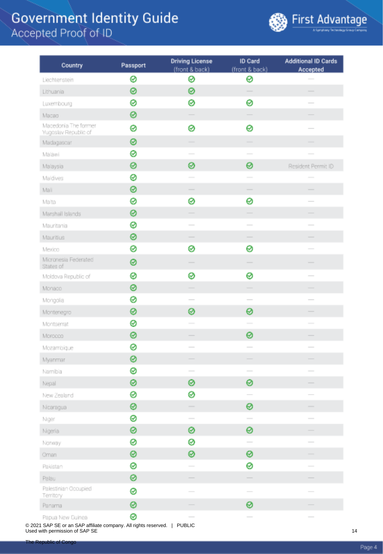

| Country                                      | Passport | <b>Driving License</b><br>(front & back) | ID Card<br>(front & back)                                                                      | <b>Additional ID Cards</b><br>Accepted                                                                                                                                                                                                                                                                                                                                                                                                                                     |
|----------------------------------------------|----------|------------------------------------------|------------------------------------------------------------------------------------------------|----------------------------------------------------------------------------------------------------------------------------------------------------------------------------------------------------------------------------------------------------------------------------------------------------------------------------------------------------------------------------------------------------------------------------------------------------------------------------|
| Liechtenstein                                | 0        | ⊗                                        | ⊗                                                                                              |                                                                                                                                                                                                                                                                                                                                                                                                                                                                            |
| Lithuania                                    | 0        | ⊗                                        | $\sim$                                                                                         |                                                                                                                                                                                                                                                                                                                                                                                                                                                                            |
| Luxembourg                                   | ø        | ⊗                                        | 0                                                                                              |                                                                                                                                                                                                                                                                                                                                                                                                                                                                            |
| Macao                                        | 0        |                                          |                                                                                                |                                                                                                                                                                                                                                                                                                                                                                                                                                                                            |
| Macedonia The former<br>Yugoslav Republic of | 0        | 0                                        | 0                                                                                              |                                                                                                                                                                                                                                                                                                                                                                                                                                                                            |
| Madagascar                                   | 0        |                                          |                                                                                                |                                                                                                                                                                                                                                                                                                                                                                                                                                                                            |
| Malawi                                       | 0        |                                          |                                                                                                |                                                                                                                                                                                                                                                                                                                                                                                                                                                                            |
| Malaysia                                     | 0        | ⊗                                        | 0                                                                                              | Resident Permit ID                                                                                                                                                                                                                                                                                                                                                                                                                                                         |
| Maldives                                     | ⊗        |                                          |                                                                                                | $\sim$                                                                                                                                                                                                                                                                                                                                                                                                                                                                     |
| Mali                                         | ⊗        | $\overline{\phantom{a}}$                 | $\overline{\phantom{a}}$                                                                       | $\frac{1}{2} \left( \frac{1}{2} \right) \left( \frac{1}{2} \right) \left( \frac{1}{2} \right) \left( \frac{1}{2} \right) \left( \frac{1}{2} \right) \left( \frac{1}{2} \right) \left( \frac{1}{2} \right) \left( \frac{1}{2} \right) \left( \frac{1}{2} \right) \left( \frac{1}{2} \right) \left( \frac{1}{2} \right) \left( \frac{1}{2} \right) \left( \frac{1}{2} \right) \left( \frac{1}{2} \right) \left( \frac{1}{2} \right) \left( \frac{1}{2} \right) \left( \frac$ |
| Malta                                        | 0        | ⊗                                        | 0                                                                                              | $\frac{1}{2} \left( \frac{1}{2} \right) \left( \frac{1}{2} \right) \left( \frac{1}{2} \right) \left( \frac{1}{2} \right) \left( \frac{1}{2} \right) \left( \frac{1}{2} \right) \left( \frac{1}{2} \right) \left( \frac{1}{2} \right) \left( \frac{1}{2} \right) \left( \frac{1}{2} \right) \left( \frac{1}{2} \right) \left( \frac{1}{2} \right) \left( \frac{1}{2} \right) \left( \frac{1}{2} \right) \left( \frac{1}{2} \right) \left( \frac{1}{2} \right) \left( \frac$ |
| Marshall Islands                             | 0        |                                          |                                                                                                |                                                                                                                                                                                                                                                                                                                                                                                                                                                                            |
| Mauritania                                   | 0        |                                          | $\sim$                                                                                         |                                                                                                                                                                                                                                                                                                                                                                                                                                                                            |
| Mauritius                                    | 0        |                                          |                                                                                                |                                                                                                                                                                                                                                                                                                                                                                                                                                                                            |
| Mexico                                       | 0        | ⊗                                        | 0                                                                                              |                                                                                                                                                                                                                                                                                                                                                                                                                                                                            |
| Micronesia Federated<br>States of            | 0        |                                          |                                                                                                |                                                                                                                                                                                                                                                                                                                                                                                                                                                                            |
| Moldova Republic of                          | 0        | ⊗                                        | ⊗                                                                                              |                                                                                                                                                                                                                                                                                                                                                                                                                                                                            |
| Monado                                       | 0        | $\overline{\phantom{a}}$                 |                                                                                                |                                                                                                                                                                                                                                                                                                                                                                                                                                                                            |
| Mongolia                                     | ø        |                                          | $\overline{\phantom{a}}$                                                                       |                                                                                                                                                                                                                                                                                                                                                                                                                                                                            |
| Montenegro                                   | 0        | 0                                        | 0                                                                                              |                                                                                                                                                                                                                                                                                                                                                                                                                                                                            |
| Montserrat                                   | ⊗        | $\sim$                                   | $\sim$                                                                                         | $\overline{\phantom{a}}$                                                                                                                                                                                                                                                                                                                                                                                                                                                   |
| Morocco                                      | 0        |                                          | 0                                                                                              |                                                                                                                                                                                                                                                                                                                                                                                                                                                                            |
| Mozambique                                   | ⊗        |                                          | $\sim$                                                                                         | $\sim$                                                                                                                                                                                                                                                                                                                                                                                                                                                                     |
| Myanmar                                      | 0        |                                          |                                                                                                |                                                                                                                                                                                                                                                                                                                                                                                                                                                                            |
| Namibia                                      | 0        |                                          | $\frac{1}{2} \left( \frac{1}{2} \right) \left( \frac{1}{2} \right) \left( \frac{1}{2} \right)$ |                                                                                                                                                                                                                                                                                                                                                                                                                                                                            |
| Nepal                                        | ⊗        | ⊗                                        | 0                                                                                              |                                                                                                                                                                                                                                                                                                                                                                                                                                                                            |
| New Zealand                                  | 0        | ⊗                                        |                                                                                                |                                                                                                                                                                                                                                                                                                                                                                                                                                                                            |
| Nicaragua                                    | ◎        |                                          | 0                                                                                              |                                                                                                                                                                                                                                                                                                                                                                                                                                                                            |
| Niger                                        | ⊗        |                                          | $\sim$                                                                                         |                                                                                                                                                                                                                                                                                                                                                                                                                                                                            |
| Nigeria                                      | 0        | ⊗                                        | 0                                                                                              |                                                                                                                                                                                                                                                                                                                                                                                                                                                                            |
| Norway                                       | 0        | ⊗                                        | $\overline{\phantom{a}}$                                                                       | $\sim$                                                                                                                                                                                                                                                                                                                                                                                                                                                                     |
| Oman                                         | ⊗        | ⊗                                        | ⊗                                                                                              | $\overline{\phantom{a}}$                                                                                                                                                                                                                                                                                                                                                                                                                                                   |
| Pakistan                                     | 0        |                                          | 0                                                                                              |                                                                                                                                                                                                                                                                                                                                                                                                                                                                            |
| Palau                                        | 0        |                                          |                                                                                                |                                                                                                                                                                                                                                                                                                                                                                                                                                                                            |
| Palestinian Occupied<br>Territory            | 0        |                                          |                                                                                                |                                                                                                                                                                                                                                                                                                                                                                                                                                                                            |
| Panama                                       | 0        |                                          | 0                                                                                              |                                                                                                                                                                                                                                                                                                                                                                                                                                                                            |
|                                              | Q        |                                          |                                                                                                |                                                                                                                                                                                                                                                                                                                                                                                                                                                                            |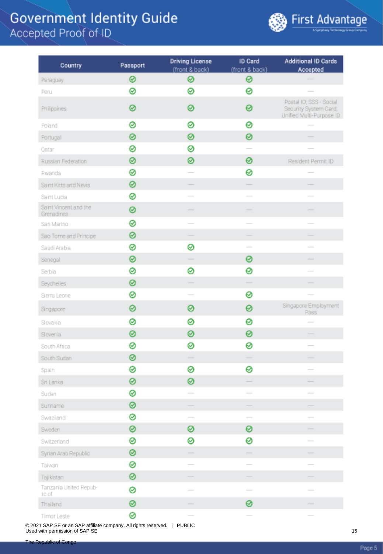

| Country                             | Passport | <b>Driving License</b>   | ID Card                  | <b>Additional ID Cards</b>                                                   |
|-------------------------------------|----------|--------------------------|--------------------------|------------------------------------------------------------------------------|
|                                     |          | (front & back)           | (front & back)           | Accepted                                                                     |
| Paraguay                            | 0        | ⊗                        | ⊗                        |                                                                              |
| Peru                                | 0        | ⊗                        | 0                        |                                                                              |
| Philippines                         | 0        | 0                        | ⊗                        | Postal ID; SSS - Social<br>Security System Card;<br>Unified Multi-Purpose ID |
| Poland                              | 0        | 0                        | 0                        |                                                                              |
| Portugal                            | 0        | 0                        | 0                        |                                                                              |
| Oatan                               | 0        | ⊗                        | $\sim$                   |                                                                              |
| Russian Federation                  | ⊗        | ⊗                        | 0                        | Resident Permit ID                                                           |
| Rwanda                              | ø        |                          | 0                        |                                                                              |
| Saint Kitts and Nevis               | 0        |                          |                          |                                                                              |
| Saint Lucia                         | ⊗        |                          |                          |                                                                              |
| Saint Vincent and the<br>Grenadines | 0        |                          |                          |                                                                              |
| San Marino                          | 0        |                          |                          |                                                                              |
| Sao Tome and Principe               | ⊗        |                          |                          |                                                                              |
| Saudi Arabia                        | 0        | ⊗                        |                          |                                                                              |
| Senegal                             | ⊗        | $\overline{\phantom{a}}$ | 0                        | -                                                                            |
| Serbia                              | 0        | ⊗                        | 0                        | $\overline{\phantom{a}}$                                                     |
| Seychelles                          | 0        | $\overline{\phantom{a}}$ | $\overline{\phantom{a}}$ | -                                                                            |
| Sierra Leone                        | ⊗        | $\sim$                   | ⊗                        |                                                                              |
| Singapore                           | 0        | 0                        | 0                        | Singapore Employment<br>Pass                                                 |
| Slovakia                            | 0        | ⊗                        | 0                        |                                                                              |
| Slovenia                            | 0        | ⊗                        | 0                        |                                                                              |
| South Africa                        | 0        | ⊗                        | ⊗                        | $\frac{1}{2}$                                                                |
| South Sudan                         | ⊗        | -                        |                          |                                                                              |
| Spain                               | ⊗        | 0                        | 0                        |                                                                              |
| Sri Lanka                           | 0        | ⊗                        |                          |                                                                              |
| Sudan                               | 0        | $\sim$                   | $\overline{\phantom{a}}$ |                                                                              |
| Suriname                            | 0        |                          |                          |                                                                              |
| Swaziand                            | ⊗        | $\frac{1}{2}$            |                          |                                                                              |
| Sweden                              | ⊗        | ⊗                        | 0                        |                                                                              |
| Switzerland                         | ⊗        | ⊗                        | 0                        |                                                                              |
| Syrian Arab Republic                | ◎        |                          | $\overline{\phantom{a}}$ |                                                                              |
| Taiwan                              | ⊗        |                          |                          |                                                                              |
| Tajikistan                          | 0        |                          |                          |                                                                              |
| Tanzania United Repub-<br>ic of     | 0        |                          |                          |                                                                              |
| Thailand                            | 0        |                          | 0                        |                                                                              |
| Timor Leste                         | ⊗        |                          |                          |                                                                              |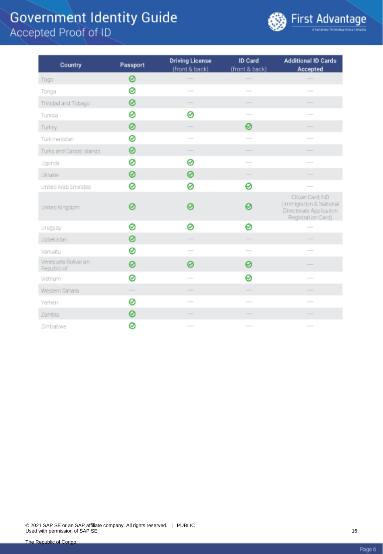

| Country                             | Passport | <b>Driving License</b><br>(front & back)                                                                                                                                                                                                                                                                                                                                                                                                                                   | ID Card<br>(front & back)                                                                                                                                                                                                                                                                                                                                                                                                                                                  | <b>Additional ID Cards</b><br>Accepted                                                                                                                                                                                                                                                                                                                                                                                                                                     |
|-------------------------------------|----------|----------------------------------------------------------------------------------------------------------------------------------------------------------------------------------------------------------------------------------------------------------------------------------------------------------------------------------------------------------------------------------------------------------------------------------------------------------------------------|----------------------------------------------------------------------------------------------------------------------------------------------------------------------------------------------------------------------------------------------------------------------------------------------------------------------------------------------------------------------------------------------------------------------------------------------------------------------------|----------------------------------------------------------------------------------------------------------------------------------------------------------------------------------------------------------------------------------------------------------------------------------------------------------------------------------------------------------------------------------------------------------------------------------------------------------------------------|
| Togo                                | 0        |                                                                                                                                                                                                                                                                                                                                                                                                                                                                            |                                                                                                                                                                                                                                                                                                                                                                                                                                                                            |                                                                                                                                                                                                                                                                                                                                                                                                                                                                            |
| Tonga                               | 0        | $\frac{1}{2} \left( \frac{1}{2} \right) \left( \frac{1}{2} \right) \left( \frac{1}{2} \right) \left( \frac{1}{2} \right) \left( \frac{1}{2} \right) \left( \frac{1}{2} \right) \left( \frac{1}{2} \right) \left( \frac{1}{2} \right) \left( \frac{1}{2} \right) \left( \frac{1}{2} \right) \left( \frac{1}{2} \right) \left( \frac{1}{2} \right) \left( \frac{1}{2} \right) \left( \frac{1}{2} \right) \left( \frac{1}{2} \right) \left( \frac{1}{2} \right) \left( \frac$ | $\sim$                                                                                                                                                                                                                                                                                                                                                                                                                                                                     | $\frac{1}{2}$                                                                                                                                                                                                                                                                                                                                                                                                                                                              |
| Trinidad and Tobago                 | 0        |                                                                                                                                                                                                                                                                                                                                                                                                                                                                            |                                                                                                                                                                                                                                                                                                                                                                                                                                                                            |                                                                                                                                                                                                                                                                                                                                                                                                                                                                            |
| Tunisia                             | 0        | Ø                                                                                                                                                                                                                                                                                                                                                                                                                                                                          | $\frac{1}{2} \left( \frac{1}{2} \right) \left( \frac{1}{2} \right) \left( \frac{1}{2} \right) \left( \frac{1}{2} \right) \left( \frac{1}{2} \right) \left( \frac{1}{2} \right) \left( \frac{1}{2} \right) \left( \frac{1}{2} \right) \left( \frac{1}{2} \right) \left( \frac{1}{2} \right) \left( \frac{1}{2} \right) \left( \frac{1}{2} \right) \left( \frac{1}{2} \right) \left( \frac{1}{2} \right) \left( \frac{1}{2} \right) \left( \frac{1}{2} \right) \left( \frac$ | $\overline{\phantom{a}}$                                                                                                                                                                                                                                                                                                                                                                                                                                                   |
| Turkey                              | 0        | $\frac{1}{2} \left( \frac{1}{2} \right) \left( \frac{1}{2} \right) \left( \frac{1}{2} \right) \left( \frac{1}{2} \right) \left( \frac{1}{2} \right) \left( \frac{1}{2} \right) \left( \frac{1}{2} \right) \left( \frac{1}{2} \right) \left( \frac{1}{2} \right) \left( \frac{1}{2} \right) \left( \frac{1}{2} \right) \left( \frac{1}{2} \right) \left( \frac{1}{2} \right) \left( \frac{1}{2} \right) \left( \frac{1}{2} \right) \left( \frac{1}{2} \right) \left( \frac$ | ⊗                                                                                                                                                                                                                                                                                                                                                                                                                                                                          | $\overline{\phantom{a}}$                                                                                                                                                                                                                                                                                                                                                                                                                                                   |
| Turkmenistan                        | 0        | $\frac{1}{2} \left( \frac{1}{2} \right) \left( \frac{1}{2} \right) \left( \frac{1}{2} \right) \left( \frac{1}{2} \right) \left( \frac{1}{2} \right) \left( \frac{1}{2} \right) \left( \frac{1}{2} \right) \left( \frac{1}{2} \right) \left( \frac{1}{2} \right) \left( \frac{1}{2} \right) \left( \frac{1}{2} \right) \left( \frac{1}{2} \right) \left( \frac{1}{2} \right) \left( \frac{1}{2} \right) \left( \frac{1}{2} \right) \left( \frac{1}{2} \right) \left( \frac$ | $\overline{\phantom{a}}$                                                                                                                                                                                                                                                                                                                                                                                                                                                   | $\frac{1}{2} \left( \frac{1}{2} \right) \left( \frac{1}{2} \right) \left( \frac{1}{2} \right) \left( \frac{1}{2} \right) \left( \frac{1}{2} \right) \left( \frac{1}{2} \right) \left( \frac{1}{2} \right) \left( \frac{1}{2} \right) \left( \frac{1}{2} \right) \left( \frac{1}{2} \right) \left( \frac{1}{2} \right) \left( \frac{1}{2} \right) \left( \frac{1}{2} \right) \left( \frac{1}{2} \right) \left( \frac{1}{2} \right) \left( \frac{1}{2} \right) \left( \frac$ |
| Turks and Caicos Islands            | 0        |                                                                                                                                                                                                                                                                                                                                                                                                                                                                            |                                                                                                                                                                                                                                                                                                                                                                                                                                                                            |                                                                                                                                                                                                                                                                                                                                                                                                                                                                            |
| Uganda                              | 0        | ⊗                                                                                                                                                                                                                                                                                                                                                                                                                                                                          | $\sim$                                                                                                                                                                                                                                                                                                                                                                                                                                                                     | $\overline{\phantom{a}}$                                                                                                                                                                                                                                                                                                                                                                                                                                                   |
| Likraine                            | ⊗        | 0                                                                                                                                                                                                                                                                                                                                                                                                                                                                          | $\overline{\phantom{a}}$                                                                                                                                                                                                                                                                                                                                                                                                                                                   | -                                                                                                                                                                                                                                                                                                                                                                                                                                                                          |
| United Arab Emirates                | 0        | ø                                                                                                                                                                                                                                                                                                                                                                                                                                                                          | 0                                                                                                                                                                                                                                                                                                                                                                                                                                                                          |                                                                                                                                                                                                                                                                                                                                                                                                                                                                            |
| United Kingdom                      | Ø        | ൫                                                                                                                                                                                                                                                                                                                                                                                                                                                                          | ❷                                                                                                                                                                                                                                                                                                                                                                                                                                                                          | CitizenCard:IND<br>(Immigration & National<br>Directorate Application<br>Registration Card)                                                                                                                                                                                                                                                                                                                                                                                |
| <b>Uruguay</b>                      | 0        | ⊗                                                                                                                                                                                                                                                                                                                                                                                                                                                                          | 0                                                                                                                                                                                                                                                                                                                                                                                                                                                                          | $\frac{1}{2}$                                                                                                                                                                                                                                                                                                                                                                                                                                                              |
| Uzbekistan                          | 0        | $\equiv$                                                                                                                                                                                                                                                                                                                                                                                                                                                                   | $\overline{\phantom{a}}$                                                                                                                                                                                                                                                                                                                                                                                                                                                   | $\overline{\phantom{a}}$                                                                                                                                                                                                                                                                                                                                                                                                                                                   |
| Vanuatu                             | 0        | $\overline{\phantom{a}}$                                                                                                                                                                                                                                                                                                                                                                                                                                                   | $\frac{1}{2} \left( \frac{1}{2} \right) \left( \frac{1}{2} \right) \left( \frac{1}{2} \right) \left( \frac{1}{2} \right) \left( \frac{1}{2} \right) \left( \frac{1}{2} \right) \left( \frac{1}{2} \right) \left( \frac{1}{2} \right) \left( \frac{1}{2} \right) \left( \frac{1}{2} \right) \left( \frac{1}{2} \right) \left( \frac{1}{2} \right) \left( \frac{1}{2} \right) \left( \frac{1}{2} \right) \left( \frac{1}{2} \right) \left( \frac{1}{2} \right) \left( \frac$ | $\overline{\phantom{a}}$                                                                                                                                                                                                                                                                                                                                                                                                                                                   |
| Venezuela Bolivarian<br>Republic of | ø        | ø                                                                                                                                                                                                                                                                                                                                                                                                                                                                          | 0                                                                                                                                                                                                                                                                                                                                                                                                                                                                          |                                                                                                                                                                                                                                                                                                                                                                                                                                                                            |
| Vietnam                             | ⊗        | $\frac{1}{2}$                                                                                                                                                                                                                                                                                                                                                                                                                                                              | 0                                                                                                                                                                                                                                                                                                                                                                                                                                                                          | $\frac{1}{2}$                                                                                                                                                                                                                                                                                                                                                                                                                                                              |
| Western Sahara                      |          |                                                                                                                                                                                                                                                                                                                                                                                                                                                                            | $\overline{\phantom{a}}$                                                                                                                                                                                                                                                                                                                                                                                                                                                   | $\overline{\phantom{a}}$                                                                                                                                                                                                                                                                                                                                                                                                                                                   |
| Yemen                               | 0        |                                                                                                                                                                                                                                                                                                                                                                                                                                                                            | $\overline{\phantom{a}}$                                                                                                                                                                                                                                                                                                                                                                                                                                                   | $\overline{\phantom{a}}$                                                                                                                                                                                                                                                                                                                                                                                                                                                   |
| Zambia                              | 0        |                                                                                                                                                                                                                                                                                                                                                                                                                                                                            | $\frac{1}{2} \left( \frac{1}{2} \right) \left( \frac{1}{2} \right) \left( \frac{1}{2} \right) \left( \frac{1}{2} \right) \left( \frac{1}{2} \right) \left( \frac{1}{2} \right) \left( \frac{1}{2} \right) \left( \frac{1}{2} \right) \left( \frac{1}{2} \right) \left( \frac{1}{2} \right) \left( \frac{1}{2} \right) \left( \frac{1}{2} \right) \left( \frac{1}{2} \right) \left( \frac{1}{2} \right) \left( \frac{1}{2} \right) \left( \frac{1}{2} \right) \left( \frac$ |                                                                                                                                                                                                                                                                                                                                                                                                                                                                            |
| Zimbabwe                            | 0        | $\frac{1}{2} \left( \frac{1}{2} \right) \left( \frac{1}{2} \right) \left( \frac{1}{2} \right) \left( \frac{1}{2} \right) \left( \frac{1}{2} \right) \left( \frac{1}{2} \right) \left( \frac{1}{2} \right) \left( \frac{1}{2} \right) \left( \frac{1}{2} \right) \left( \frac{1}{2} \right) \left( \frac{1}{2} \right) \left( \frac{1}{2} \right) \left( \frac{1}{2} \right) \left( \frac{1}{2} \right) \left( \frac{1}{2} \right) \left( \frac{1}{2} \right) \left( \frac$ | $\frac{1}{2}$                                                                                                                                                                                                                                                                                                                                                                                                                                                              | $\frac{1}{2} \left( \frac{1}{2} \right) \left( \frac{1}{2} \right) \left( \frac{1}{2} \right) \left( \frac{1}{2} \right) \left( \frac{1}{2} \right) \left( \frac{1}{2} \right) \left( \frac{1}{2} \right) \left( \frac{1}{2} \right) \left( \frac{1}{2} \right) \left( \frac{1}{2} \right) \left( \frac{1}{2} \right) \left( \frac{1}{2} \right) \left( \frac{1}{2} \right) \left( \frac{1}{2} \right) \left( \frac{1}{2} \right) \left( \frac{1}{2} \right) \left( \frac$ |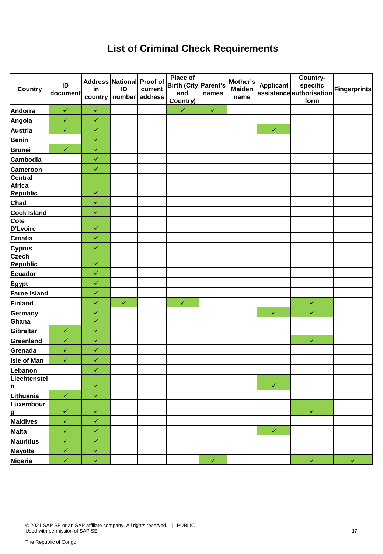#### **List of Criminal Check Requirements**

| <b>Country</b>                                          | ID<br>document | in           | Address National Proof of<br>ID<br>country   number | current<br>address | <b>Place of</b><br>Birth (City Parent's<br>and<br>Country) | names        | Mother's<br><b>Maiden</b><br>name | <b>Applicant</b> | Country-<br>specific<br>assistanceauthorisation<br>form | <b>Fingerprints</b> |
|---------------------------------------------------------|----------------|--------------|-----------------------------------------------------|--------------------|------------------------------------------------------------|--------------|-----------------------------------|------------------|---------------------------------------------------------|---------------------|
| Andorra                                                 | $\checkmark$   | $\checkmark$ |                                                     |                    | $\checkmark$                                               | $\checkmark$ |                                   |                  |                                                         |                     |
| Angola                                                  | $\checkmark$   | $\checkmark$ |                                                     |                    |                                                            |              |                                   |                  |                                                         |                     |
| Austria                                                 | $\checkmark$   | $\checkmark$ |                                                     |                    |                                                            |              |                                   | $\checkmark$     |                                                         |                     |
| <b>Benin</b>                                            |                | $\checkmark$ |                                                     |                    |                                                            |              |                                   |                  |                                                         |                     |
| <b>Brunei</b>                                           | $\checkmark$   | $\checkmark$ |                                                     |                    |                                                            |              |                                   |                  |                                                         |                     |
| Cambodia                                                |                | $\checkmark$ |                                                     |                    |                                                            |              |                                   |                  |                                                         |                     |
|                                                         |                | $\checkmark$ |                                                     |                    |                                                            |              |                                   |                  |                                                         |                     |
| Cameroon<br>Central<br><b>Africa</b><br><b>Republic</b> |                | $\checkmark$ |                                                     |                    |                                                            |              |                                   |                  |                                                         |                     |
| Chad                                                    |                | $\checkmark$ |                                                     |                    |                                                            |              |                                   |                  |                                                         |                     |
|                                                         |                | $\checkmark$ |                                                     |                    |                                                            |              |                                   |                  |                                                         |                     |
| Cook Island<br>D'Lvoire                                 |                | $\checkmark$ |                                                     |                    |                                                            |              |                                   |                  |                                                         |                     |
| <b>Croatia</b>                                          |                | $\checkmark$ |                                                     |                    |                                                            |              |                                   |                  |                                                         |                     |
| <b>Cyprus</b>                                           |                | $\checkmark$ |                                                     |                    |                                                            |              |                                   |                  |                                                         |                     |
| <b>Czech</b><br><b>Republic</b>                         |                | $\checkmark$ |                                                     |                    |                                                            |              |                                   |                  |                                                         |                     |
| Ecuador                                                 |                | $\checkmark$ |                                                     |                    |                                                            |              |                                   |                  |                                                         |                     |
| Egypt                                                   |                | $\checkmark$ |                                                     |                    |                                                            |              |                                   |                  |                                                         |                     |
| Faroe Island                                            |                | $\checkmark$ |                                                     |                    |                                                            |              |                                   |                  |                                                         |                     |
| Finland                                                 |                | $\checkmark$ | $\checkmark$                                        |                    | $\checkmark$                                               |              |                                   |                  | $\checkmark$                                            |                     |
| Germany                                                 |                | $\checkmark$ |                                                     |                    |                                                            |              |                                   | $\checkmark$     | $\checkmark$                                            |                     |
| Ghana                                                   |                | $\checkmark$ |                                                     |                    |                                                            |              |                                   |                  |                                                         |                     |
| Gibraltar                                               | $\checkmark$   | $\checkmark$ |                                                     |                    |                                                            |              |                                   |                  |                                                         |                     |
| Greenland                                               | $\checkmark$   | $\checkmark$ |                                                     |                    |                                                            |              |                                   |                  | $\checkmark$                                            |                     |
| Grenada                                                 | $\checkmark$   | $\checkmark$ |                                                     |                    |                                                            |              |                                   |                  |                                                         |                     |
| <b>Isle of Man</b>                                      | $\checkmark$   | $\checkmark$ |                                                     |                    |                                                            |              |                                   |                  |                                                         |                     |
| Lebanon                                                 |                | $\checkmark$ |                                                     |                    |                                                            |              |                                   |                  |                                                         |                     |
| Liechtenstei<br><u> n</u>                               |                | $\checkmark$ |                                                     |                    |                                                            |              |                                   | $\checkmark$     |                                                         |                     |
| Lithuania                                               | $\checkmark$   | $\checkmark$ |                                                     |                    |                                                            |              |                                   |                  |                                                         |                     |
| Luxembour                                               |                |              |                                                     |                    |                                                            |              |                                   |                  |                                                         |                     |
| <u>lg</u>                                               | $\checkmark$   | $\checkmark$ |                                                     |                    |                                                            |              |                                   |                  | $\checkmark$                                            |                     |
| Maldives                                                | $\checkmark$   | $\checkmark$ |                                                     |                    |                                                            |              |                                   |                  |                                                         |                     |
| Malta                                                   | $\checkmark$   | $\checkmark$ |                                                     |                    |                                                            |              |                                   | $\checkmark$     |                                                         |                     |
| <b>Mauritius</b>                                        | $\checkmark$   | $\checkmark$ |                                                     |                    |                                                            |              |                                   |                  |                                                         |                     |
| <b>Mayotte</b>                                          | $\checkmark$   | $\checkmark$ |                                                     |                    |                                                            |              |                                   |                  |                                                         |                     |
| Nigeria                                                 | $\checkmark$   | $\checkmark$ |                                                     |                    |                                                            | $\checkmark$ |                                   |                  | $\checkmark$                                            | $\checkmark$        |